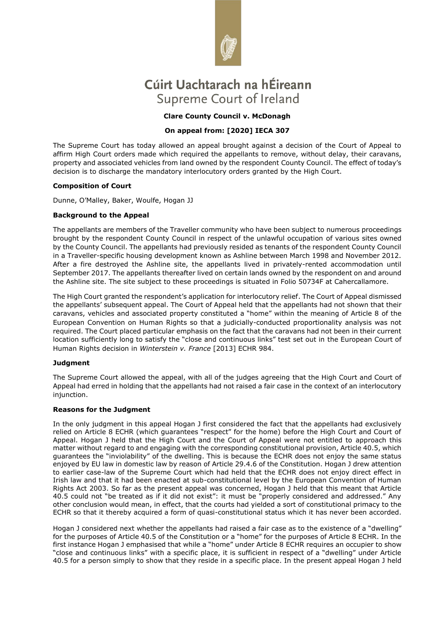

# Cúirt Uachtarach na hÉireann Supreme Court of Ireland

## **Clare County Council v. McDonagh**

## **On appeal from: [2020] IECA 307**

The Supreme Court has today allowed an appeal brought against a decision of the Court of Appeal to affirm High Court orders made which required the appellants to remove, without delay, their caravans, property and associated vehicles from land owned by the respondent County Council. The effect of today's decision is to discharge the mandatory interlocutory orders granted by the High Court.

## **Composition of Court**

Dunne, O'Malley, Baker, Woulfe, Hogan JJ

## **Background to the Appeal**

The appellants are members of the Traveller community who have been subject to numerous proceedings brought by the respondent County Council in respect of the unlawful occupation of various sites owned by the County Council. The appellants had previously resided as tenants of the respondent County Council in a Traveller-specific housing development known as Ashline between March 1998 and November 2012. After a fire destroyed the Ashline site, the appellants lived in privately-rented accommodation until September 2017. The appellants thereafter lived on certain lands owned by the respondent on and around the Ashline site. The site subject to these proceedings is situated in Folio 50734F at Cahercallamore.

The High Court granted the respondent's application for interlocutory relief. The Court of Appeal dismissed the appellants' subsequent appeal. The Court of Appeal held that the appellants had not shown that their caravans, vehicles and associated property constituted a "home" within the meaning of Article 8 of the European Convention on Human Rights so that a judicially-conducted proportionality analysis was not required. The Court placed particular emphasis on the fact that the caravans had not been in their current location sufficiently long to satisfy the "close and continuous links" test set out in the European Court of Human Rights decision in *Winterstein v. France* [2013] ECHR 984.

### **Judgment**

The Supreme Court allowed the appeal, with all of the judges agreeing that the High Court and Court of Appeal had erred in holding that the appellants had not raised a fair case in the context of an interlocutory injunction.

### **Reasons for the Judgment**

In the only judgment in this appeal Hogan J first considered the fact that the appellants had exclusively relied on Article 8 ECHR (which guarantees "respect" for the home) before the High Court and Court of Appeal. Hogan J held that the High Court and the Court of Appeal were not entitled to approach this matter without regard to and engaging with the corresponding constitutional provision, Article 40.5, which guarantees the "inviolability" of the dwelling. This is because the ECHR does not enjoy the same status enjoyed by EU law in domestic law by reason of Article 29.4.6 of the Constitution. Hogan J drew attention to earlier case-law of the Supreme Court which had held that the ECHR does not enjoy direct effect in Irish law and that it had been enacted at sub-constitutional level by the European Convention of Human Rights Act 2003. So far as the present appeal was concerned, Hogan J held that this meant that Article 40.5 could not "be treated as if it did not exist": it must be "properly considered and addressed." Any other conclusion would mean, in effect, that the courts had yielded a sort of constitutional primacy to the ECHR so that it thereby acquired a form of quasi-constitutional status which it has never been accorded.

Hogan J considered next whether the appellants had raised a fair case as to the existence of a "dwelling" for the purposes of Article 40.5 of the Constitution or a "home" for the purposes of Article 8 ECHR. In the first instance Hogan J emphasised that while a "home" under Article 8 ECHR requires an occupier to show "close and continuous links" with a specific place, it is sufficient in respect of a "dwelling" under Article 40.5 for a person simply to show that they reside in a specific place. In the present appeal Hogan J held